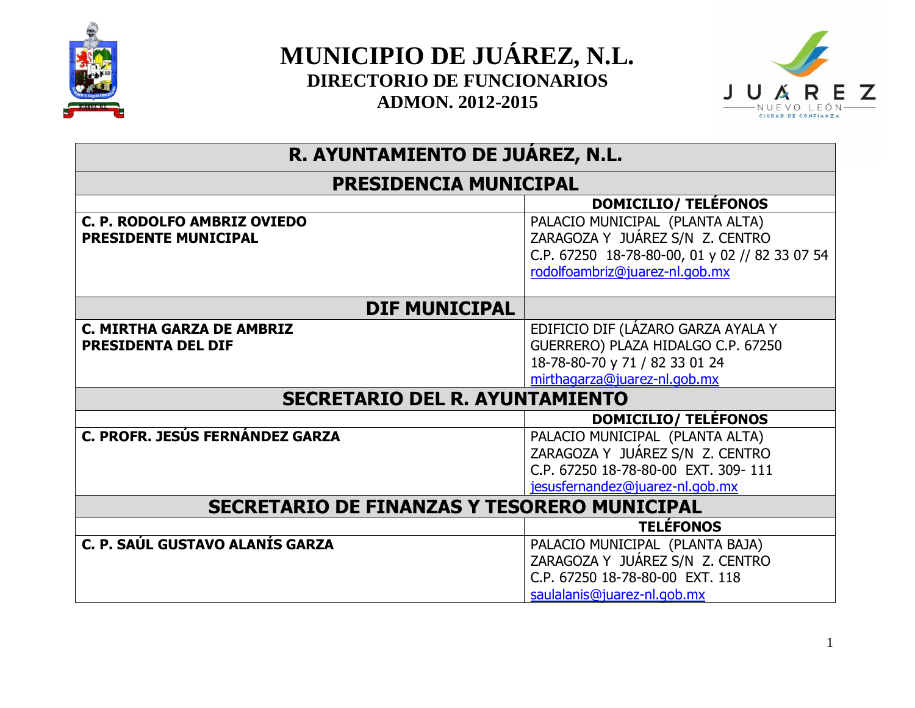



# **R. AYUNTAMIENTO DE JUÁREZ, N.L.**

## **PRESIDENCIA MUNICIPAL**

|                                                    | <b>DOMICILIO/ TELÉFONOS</b>                    |
|----------------------------------------------------|------------------------------------------------|
| C. P. RODOLFO AMBRIZ OVIEDO                        | PALACIO MUNICIPAL (PLANTA ALTA)                |
| <b>PRESIDENTE MUNICIPAL</b>                        | ZARAGOZA Y JUÁREZ S/N Z. CENTRO                |
|                                                    | C.P. 67250 18-78-80-00, 01 y 02 // 82 33 07 54 |
|                                                    | rodolfoambriz@juarez-nl.gob.mx                 |
|                                                    |                                                |
| <b>DIF MUNICIPAL</b>                               |                                                |
| <b>C. MIRTHA GARZA DE AMBRIZ</b>                   | EDIFICIO DIF (LÁZARO GARZA AYALA Y             |
| <b>PRESIDENTA DEL DIF</b>                          | GUERRERO) PLAZA HIDALGO C.P. 67250             |
|                                                    | 18-78-80-70 y 71 / 82 33 01 24                 |
|                                                    | mirthagarza@juarez-nl.gob.mx                   |
| <b>SECRETARIO DEL R. AYUNTAMIENTO</b>              |                                                |
|                                                    | <b>DOMICILIO/ TELÉFONOS</b>                    |
| C. PROFR. JESÚS FERNÁNDEZ GARZA                    | PALACIO MUNICIPAL (PLANTA ALTA)                |
|                                                    | ZARAGOZA Y JUÁREZ S/N Z. CENTRO                |
|                                                    | C.P. 67250 18-78-80-00 EXT. 309-111            |
|                                                    | jesusfernandez@juarez-nl.gob.mx                |
| <b>SECRETARIO DE FINANZAS Y TESORERO MUNICIPAL</b> |                                                |
|                                                    | <b>TELÉFONOS</b>                               |
| C. P. SAÚL GUSTAVO ALANÍS GARZA                    | PALACIO MUNICIPAL (PLANTA BAJA)                |
|                                                    | ZARAGOZA Y JUÁREZ S/N Z. CENTRO                |
|                                                    | C.P. 67250 18-78-80-00 EXT. 118                |
|                                                    |                                                |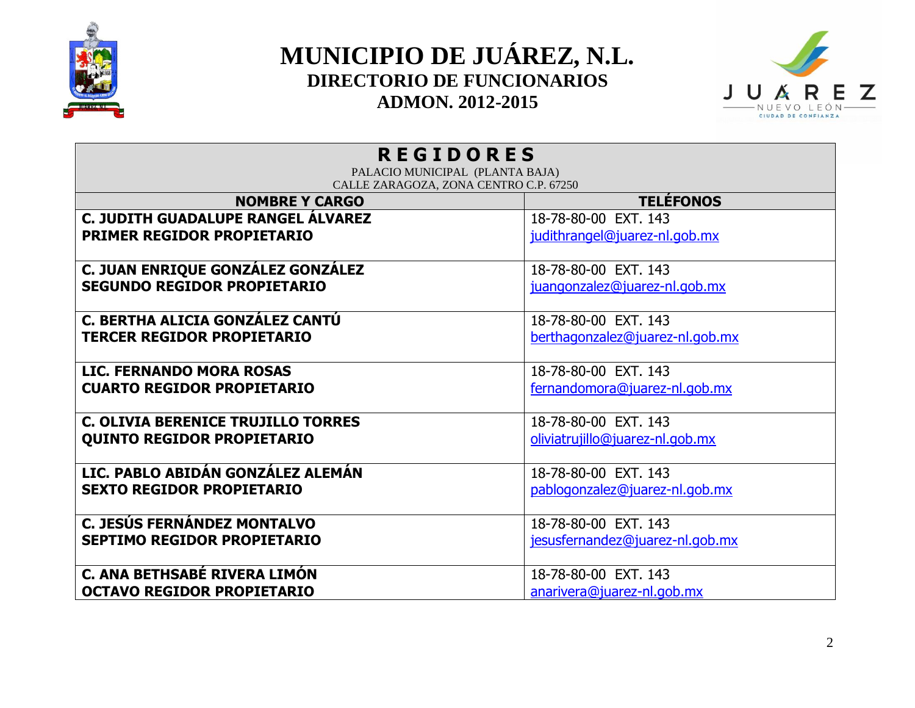



| <b>REGIDORES</b><br>PALACIO MUNICIPAL (PLANTA BAJA) |                                 |
|-----------------------------------------------------|---------------------------------|
| CALLE ZARAGOZA, ZONA CENTRO C.P. 67250              |                                 |
| <b>NOMBRE Y CARGO</b>                               | <b>TELÉFONOS</b>                |
| C. JUDITH GUADALUPE RANGEL ÁLVAREZ                  | 18-78-80-00 EXT. 143            |
| PRIMER REGIDOR PROPIETARIO                          | judithrangel@juarez-nl.gob.mx   |
| C. JUAN ENRIQUE GONZÁLEZ GONZÁLEZ                   | 18-78-80-00 EXT. 143            |
| <b>SEGUNDO REGIDOR PROPIETARIO</b>                  | juangonzalez@juarez-nl.gob.mx   |
|                                                     |                                 |
| C. BERTHA ALICIA GONZÁLEZ CANTÚ                     | 18-78-80-00 EXT. 143            |
| <b>TERCER REGIDOR PROPIETARIO</b>                   | berthagonzalez@juarez-nl.gob.mx |
|                                                     |                                 |
| <b>LIC. FERNANDO MORA ROSAS</b>                     | 18-78-80-00 EXT. 143            |
| <b>CUARTO REGIDOR PROPIETARIO</b>                   | fernandomora@juarez-nl.gob.mx   |
|                                                     |                                 |
| <b>C. OLIVIA BERENICE TRUJILLO TORRES</b>           | 18-78-80-00 EXT. 143            |
| <b>QUINTO REGIDOR PROPIETARIO</b>                   | oliviatrujillo@juarez-nl.gob.mx |
| LIC. PABLO ABIDÁN GONZÁLEZ ALEMÁN                   | 18-78-80-00 EXT, 143            |
|                                                     |                                 |
| <b>SEXTO REGIDOR PROPIETARIO</b>                    | pablogonzalez@juarez-nl.gob.mx  |
| C. JESÚS FERNÁNDEZ MONTALVO                         | 18-78-80-00 EXT. 143            |
| <b>SEPTIMO REGIDOR PROPIETARIO</b>                  | jesusfernandez@juarez-nl.gob.mx |
|                                                     |                                 |
| C. ANA BETHSABÉ RIVERA LIMÓN                        | 18-78-80-00 EXT, 143            |
| <b>OCTAVO REGIDOR PROPIETARIO</b>                   | anarivera@juarez-nl.gob.mx      |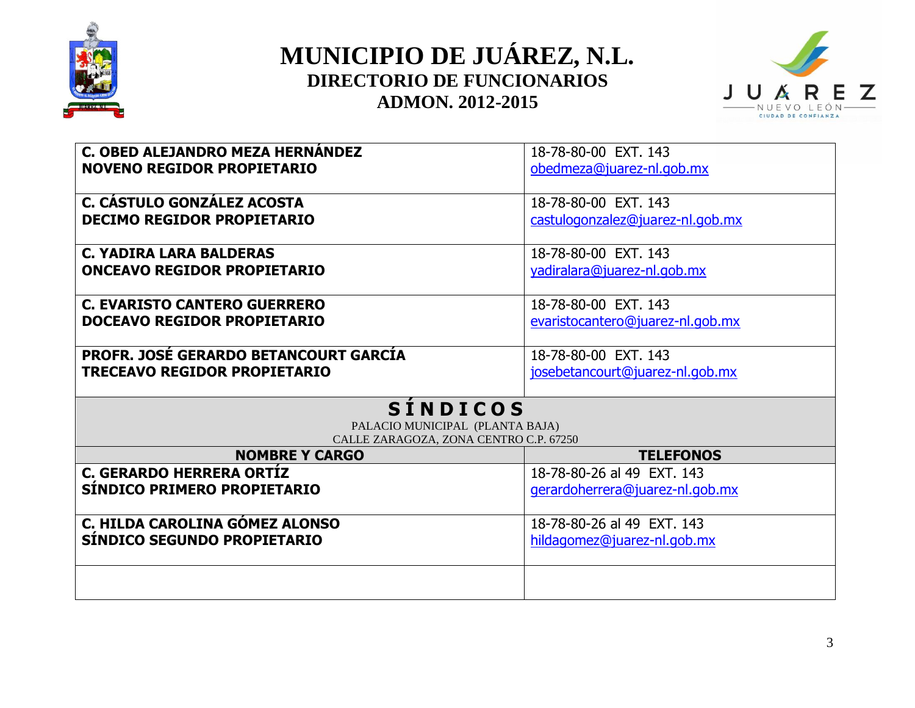



| C. OBED ALEJANDRO MEZA HERNÁNDEZ             | 18-78-80-00 EXT. 143             |
|----------------------------------------------|----------------------------------|
| <b>NOVENO REGIDOR PROPIETARIO</b>            | obedmeza@juarez-nl.gob.mx        |
|                                              |                                  |
| C. CÁSTULO GONZÁLEZ ACOSTA                   | 18-78-80-00 EXT, 143             |
|                                              |                                  |
| <b>DECIMO REGIDOR PROPIETARIO</b>            | castulogonzalez@juarez-nl.gob.mx |
|                                              |                                  |
| <b>C. YADIRA LARA BALDERAS</b>               | 18-78-80-00 EXT, 143             |
| <b>ONCEAVO REGIDOR PROPIETARIO</b>           | yadiralara@juarez-nl.gob.mx      |
|                                              |                                  |
| <b>C. EVARISTO CANTERO GUERRERO</b>          | 18-78-80-00 EXT. 143             |
| DOCEAVO REGIDOR PROPIETARIO                  | evaristocantero@juarez-nl.gob.mx |
|                                              |                                  |
|                                              |                                  |
| <b>PROFR. JOSÉ GERARDO BETANCOURT GARCÍA</b> | 18-78-80-00 EXT, 143             |
| <b>TRECEAVO REGIDOR PROPIETARIO</b>          | josebetancourt@juarez-nl.gob.mx  |
|                                              |                                  |
| <b>SINDICOS</b>                              |                                  |
| PALACIO MUNICIPAL (PLANTA BAJA)              |                                  |
| CALLE ZARAGOZA, ZONA CENTRO C.P. 67250       |                                  |
| <b>NOMBRE Y CARGO</b>                        | <b>TELEFONOS</b>                 |
| <b>C. GERARDO HERRERA ORTÍZ</b>              | 18-78-80-26 al 49 EXT, 143       |
| SÍNDICO PRIMERO PROPIETARIO                  | gerardoherrera@juarez-nl.gob.mx  |
|                                              |                                  |
| C. HILDA CAROLINA GÓMEZ ALONSO               | 18-78-80-26 al 49 EXT, 143       |
| SÍNDICO SEGUNDO PROPIETARIO                  |                                  |
|                                              |                                  |
|                                              | hildagomez@juarez-nl.gob.mx      |
|                                              |                                  |
|                                              |                                  |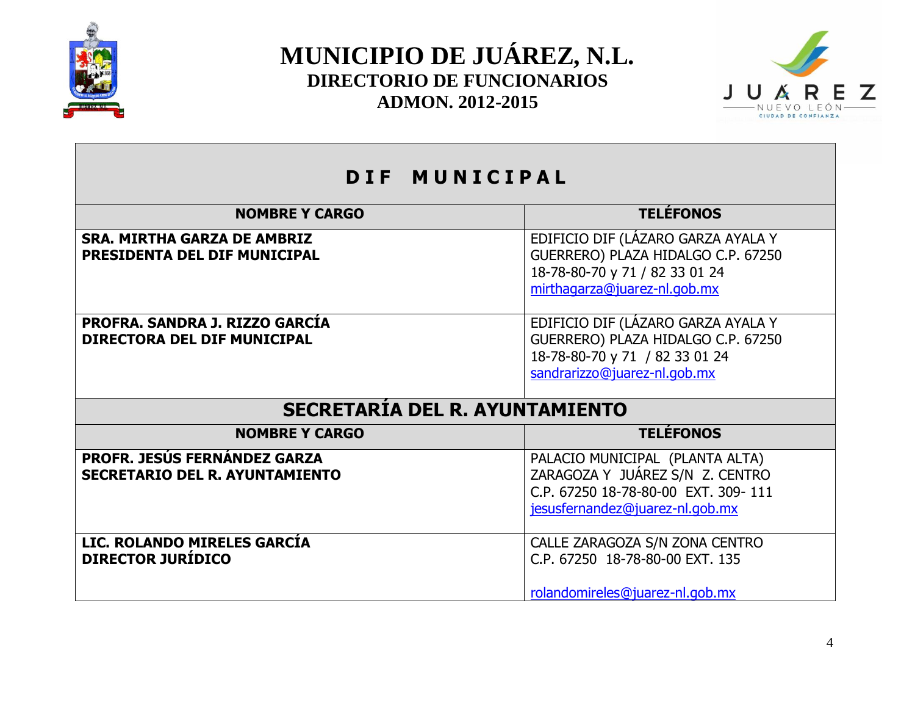



| DIF MUNICIPAL                                                                |                                                                                                                                              |
|------------------------------------------------------------------------------|----------------------------------------------------------------------------------------------------------------------------------------------|
| <b>NOMBRE Y CARGO</b>                                                        | <b>TELÉFONOS</b>                                                                                                                             |
| <b>SRA. MIRTHA GARZA DE AMBRIZ</b><br>PRESIDENTA DEL DIF MUNICIPAL           | EDIFICIO DIF (LAZARO GARZA AYALA Y<br>GUERRERO) PLAZA HIDALGO C.P. 67250<br>18-78-80-70 y 71 / 82 33 01 24<br>mirthagarza@juarez-nl.gob.mx   |
| PROFRA. SANDRA J. RIZZO GARCÍA<br><b>DIRECTORA DEL DIF MUNICIPAL</b>         | EDIFICIO DIF (LÁZARO GARZA AYALA Y<br>GUERRERO) PLAZA HIDALGO C.P. 67250<br>18-78-80-70 y 71 / 82 33 01 24<br>sandrarizzo@juarez-nl.gob.mx   |
| <b>SECRETARIA DEL R. AYUNTAMIENTO</b>                                        |                                                                                                                                              |
| <b>NOMBRE Y CARGO</b>                                                        | <b>TELÉFONOS</b>                                                                                                                             |
| <b>PROFR. JESÚS FERNÁNDEZ GARZA</b><br><b>SECRETARIO DEL R. AYUNTAMIENTO</b> | PALACIO MUNICIPAL (PLANTA ALTA)<br>ZARAGOZA Y JUÁREZ S/N Z. CENTRO<br>C.P. 67250 18-78-80-00 EXT. 309-111<br>jesusfernandez@juarez-nl.gob.mx |
| LIC. ROLANDO MIRELES GARCÍA<br><b>DIRECTOR JURÍDICO</b>                      | CALLE ZARAGOZA S/N ZONA CENTRO<br>C.P. 67250 18-78-80-00 EXT. 135<br>rolandomireles@juarez-nl.gob.mx                                         |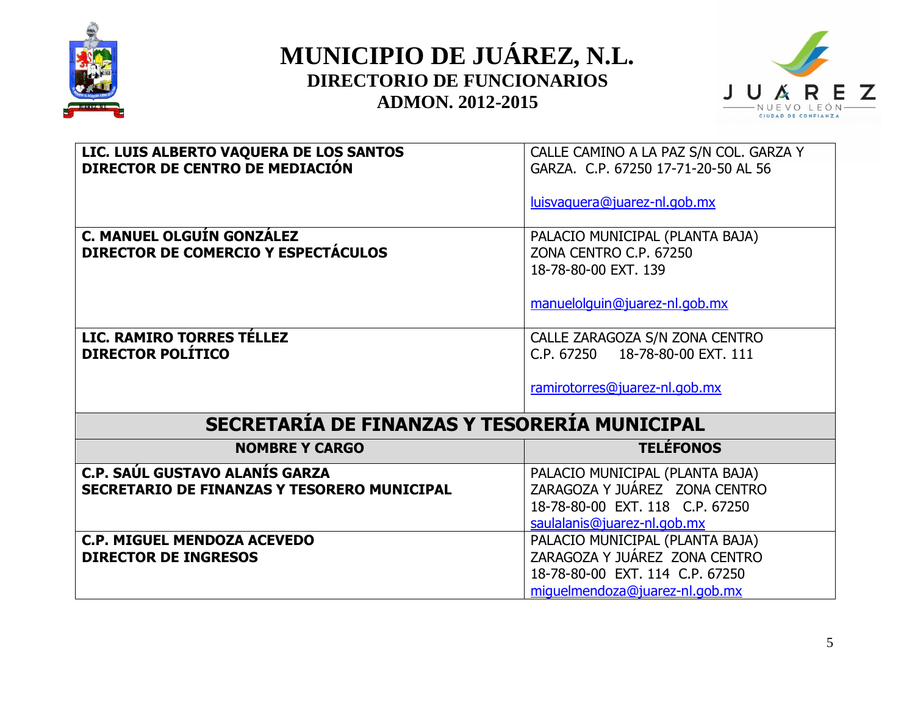



| LIC. LUIS ALBERTO VAQUERA DE LOS SANTOS<br>DIRECTOR DE CENTRO DE MEDIACIÓN | CALLE CAMINO A LA PAZ S/N COL. GARZA Y<br>GARZA, C.P. 67250 17-71-20-50 AL 56 |
|----------------------------------------------------------------------------|-------------------------------------------------------------------------------|
|                                                                            | luisvaguera@juarez-nl.gob.mx                                                  |
| C. MANUEL OLGUÍN GONZÁLEZ<br>DIRECTOR DE COMERCIO Y ESPECTÁCULOS           | PALACIO MUNICIPAL (PLANTA BAJA)<br>ZONA CENTRO C.P. 67250                     |
|                                                                            | 18-78-80-00 EXT. 139                                                          |
|                                                                            | manuelolguin@juarez-nl.gob.mx                                                 |
| LIC. RAMIRO TORRES TÉLLEZ<br><b>DIRECTOR POLÍTICO</b>                      | CALLE ZARAGOZA S/N ZONA CENTRO<br>C.P. 67250 18-78-80-00 EXT. 111             |
|                                                                            | ramirotorres@juarez-nl.gob.mx                                                 |
| <b>SECRETARIA DE FINANZAS Y TESORERIA MUNICIPAL</b>                        |                                                                               |
| <b>NOMBRE Y CARGO</b>                                                      | <b>TELÉFONOS</b>                                                              |
| <b>C.P. SAÚL GUSTAVO ALANÍS GARZA</b>                                      | PALACIO MUNICIPAL (PLANTA BAJA)                                               |
| <b>SECRETARIO DE FINANZAS Y TESORERO MUNICIPAL</b>                         | ZARAGOZA Y JUÁREZ ZONA CENTRO<br>18-78-80-00 EXT. 118 C.P. 67250              |
|                                                                            | saulalanis@juarez-nl.gob.mx                                                   |
| <b>C.P. MIGUEL MENDOZA ACEVEDO</b>                                         | PALACIO MUNICIPAL (PLANTA BAJA)                                               |
| <b>DIRECTOR DE INGRESOS</b>                                                | ZARAGOZA Y JUÁREZ ZONA CENTRO                                                 |
|                                                                            | 18-78-80-00 EXT, 114 C.P. 67250<br>miquelmendoza@juarez-nl.gob.mx             |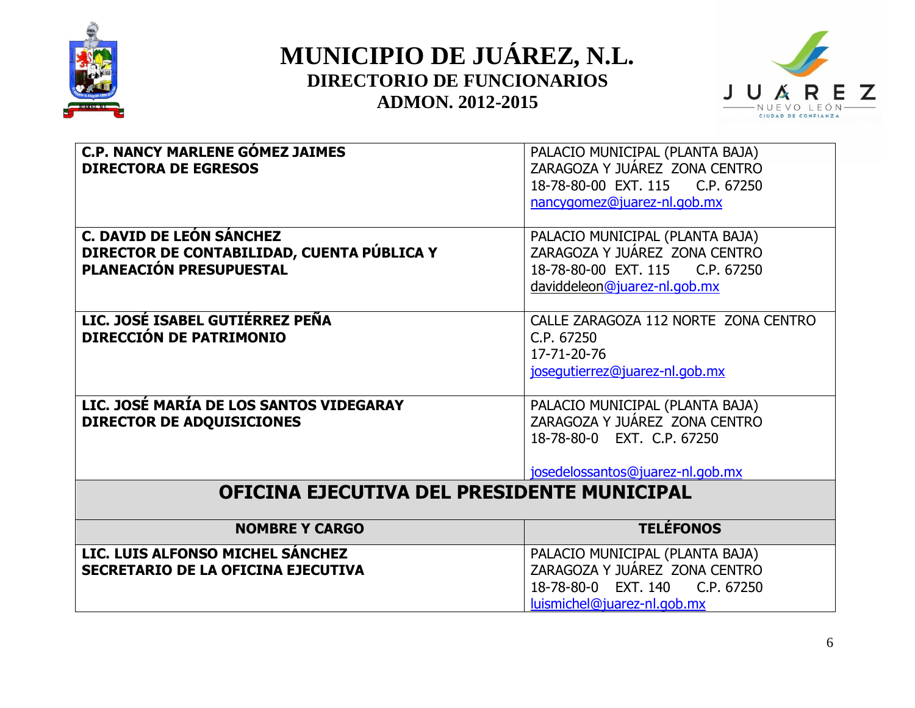



| <b>C.P. NANCY MARLENE GÓMEZ JAIMES</b><br><b>DIRECTORA DE EGRESOS</b>                                           | PALACIO MUNICIPAL (PLANTA BAJA)<br>ZARAGOZA Y JUÁREZ ZONA CENTRO<br>18-78-80-00 EXT. 115 C.P. 67250                                 |
|-----------------------------------------------------------------------------------------------------------------|-------------------------------------------------------------------------------------------------------------------------------------|
|                                                                                                                 | nancygomez@juarez-nl.gob.mx                                                                                                         |
| <b>C. DAVID DE LEÓN SÁNCHEZ</b><br>DIRECTOR DE CONTABILIDAD, CUENTA PÚBLICA Y<br><b>PLANEACIÓN PRESUPUESTAL</b> | PALACIO MUNICIPAL (PLANTA BAJA)<br>ZARAGOZA Y JUÁREZ ZONA CENTRO<br>18-78-80-00 EXT. 115 C.P. 67250<br>daviddeleon@juarez-nl.gob.mx |
| LIC. JOSÉ ISABEL GUTIÉRREZ PEÑA<br>DIRECCIÓN DE PATRIMONIO                                                      | CALLE ZARAGOZA 112 NORTE ZONA CENTRO<br>C.P. 67250<br>17-71-20-76<br>josequtierrez@juarez-nl.gob.mx                                 |
| LIC. JOSÉ MARÍA DE LOS SANTOS VIDEGARAY<br><b>DIRECTOR DE ADQUISICIONES</b>                                     | PALACIO MUNICIPAL (PLANTA BAJA)<br>ZARAGOZA Y JUÁREZ ZONA CENTRO<br>18-78-80-0 EXT. C.P. 67250<br>josedelossantos@juarez-nl.gob.mx  |
| <b>OFICINA EJECUTIVA DEL PRESIDENTE MUNICIPAL</b>                                                               |                                                                                                                                     |
| <b>NOMBRE Y CARGO</b>                                                                                           | <b>TELÉFONOS</b>                                                                                                                    |
| LIC. LUIS ALFONSO MICHEL SANCHEZ<br><b>SECRETARIO DE LA OFICINA EJECUTIVA</b>                                   | PALACIO MUNICIPAL (PLANTA BAJA)<br>ZARAGOZA Y JUÁREZ ZONA CENTRO<br>18-78-80-0 EXT, 140 C.P. 67250<br>luismichel@juarez-nl.gob.mx   |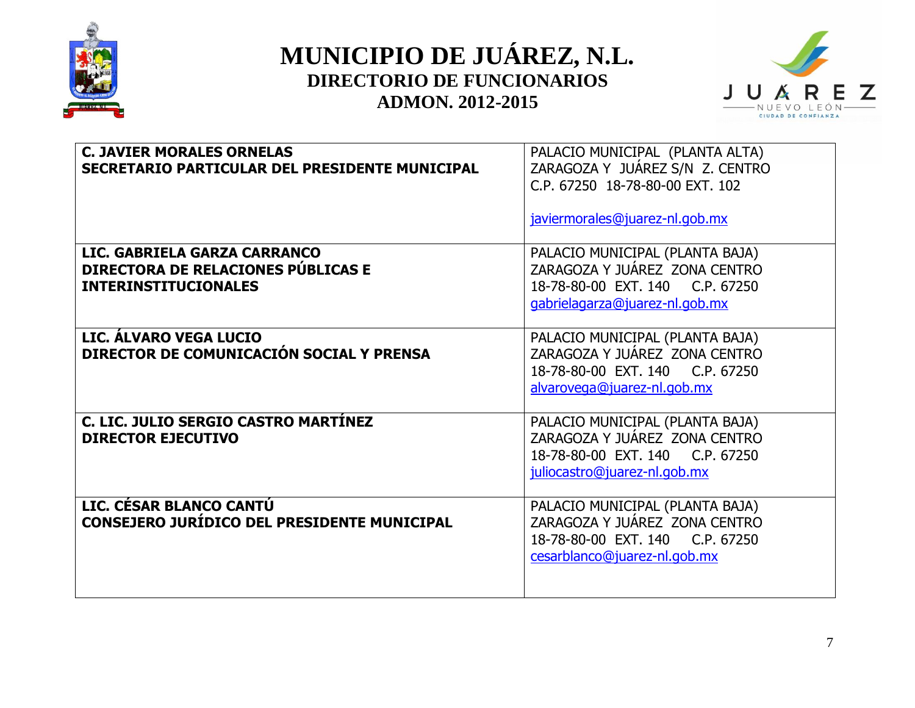



| <b>C. JAVIER MORALES ORNELAS</b><br>SECRETARIO PARTICULAR DEL PRESIDENTE MUNICIPAL                       | PALACIO MUNICIPAL (PLANTA ALTA)<br>ZARAGOZA Y JUÁREZ S/N Z. CENTRO<br>C.P. 67250 18-78-80-00 EXT. 102<br>javiermorales@juarez-nl.gob.mx |
|----------------------------------------------------------------------------------------------------------|-----------------------------------------------------------------------------------------------------------------------------------------|
| LIC. GABRIELA GARZA CARRANCO<br><b>DIRECTORA DE RELACIONES PÚBLICAS E</b><br><b>INTERINSTITUCIONALES</b> | PALACIO MUNICIPAL (PLANTA BAJA)<br>ZARAGOZA Y JUÁREZ ZONA CENTRO<br>18-78-80-00 EXT. 140 C.P. 67250<br>gabrielagarza@juarez-nl.gob.mx   |
| LIC. ÁLVARO VEGA LUCIO<br>DIRECTOR DE COMUNICACIÓN SOCIAL Y PRENSA                                       | PALACIO MUNICIPAL (PLANTA BAJA)<br>ZARAGOZA Y JUÁREZ ZONA CENTRO<br>18-78-80-00 EXT. 140 C.P. 67250<br>alvarovega@juarez-nl.gob.mx      |
| C. LIC. JULIO SERGIO CASTRO MARTÍNEZ<br><b>DIRECTOR EJECUTIVO</b>                                        | PALACIO MUNICIPAL (PLANTA BAJA)<br>ZARAGOZA Y JUÁREZ ZONA CENTRO<br>18-78-80-00 EXT. 140 C.P. 67250<br>juliocastro@juarez-nl.gob.mx     |
| LIC. CÉSAR BLANCO CANTU<br>CONSEJERO JURÍDICO DEL PRESIDENTE MUNICIPAL                                   | PALACIO MUNICIPAL (PLANTA BAJA)<br>ZARAGOZA Y JUÁREZ ZONA CENTRO<br>18-78-80-00 EXT. 140 C.P. 67250<br>cesarblanco@juarez-nl.gob.mx     |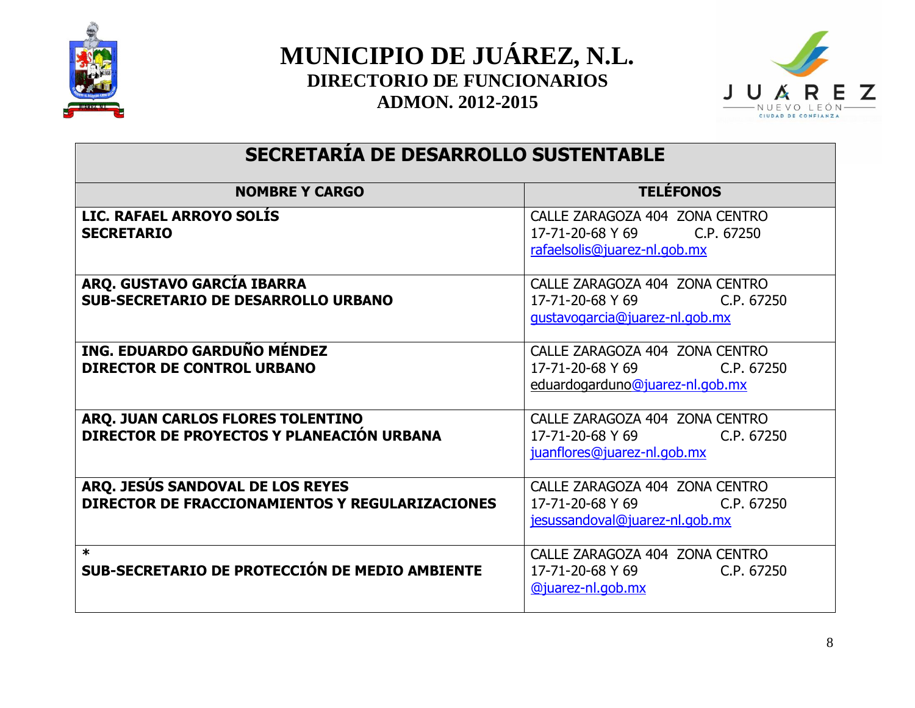



#### **SECRETARÍA DE DESARROLLO SUSTENTABLE**

| <b>NOMBRE Y CARGO</b>                                                               | <b>TELEFONOS</b>                                                                                    |
|-------------------------------------------------------------------------------------|-----------------------------------------------------------------------------------------------------|
| LIC. RAFAEL ARROYO SOLIS<br><b>SECRETARIO</b>                                       | CALLE ZARAGOZA 404 ZONA CENTRO<br>17-71-20-68 Y 69<br>C.P. 67250<br>rafaelsolis@juarez-nl.gob.mx    |
| ARQ. GUSTAVO GARCÍA IBARRA<br><b>SUB-SECRETARIO DE DESARROLLO URBANO</b>            | CALLE ZARAGOZA 404 ZONA CENTRO<br>17-71-20-68 Y 69<br>C.P. 67250<br>gustavogarcia@juarez-nl.gob.mx  |
| ING. EDUARDO GARDUÑO MÉNDEZ<br><b>DIRECTOR DE CONTROL URBANO</b>                    | CALLE ZARAGOZA 404 ZONA CENTRO<br>17-71-20-68 Y 69<br>C.P. 67250<br>eduardogarduno@juarez-nl.gob.mx |
| ARQ. JUAN CARLOS FLORES TOLENTINO<br>DIRECTOR DE PROYECTOS Y PLANEACIÓN URBANA      | CALLE ZARAGOZA 404 ZONA CENTRO<br>17-71-20-68 Y 69<br>C.P. 67250<br>juanflores@juarez-nl.gob.mx     |
| ARQ. JESÚS SANDOVAL DE LOS REYES<br>DIRECTOR DE FRACCIONAMIENTOS Y REGULARIZACIONES | CALLE ZARAGOZA 404 ZONA CENTRO<br>17-71-20-68 Y 69<br>C.P. 67250<br>jesussandoval@juarez-nl.gob.mx  |
| $\ast$<br>SUB-SECRETARIO DE PROTECCIÓN DE MEDIO AMBIENTE                            | CALLE ZARAGOZA 404 ZONA CENTRO<br>17-71-20-68 Y 69<br>C.P. 67250<br><u>@juarez-nl.gob.mx</u>        |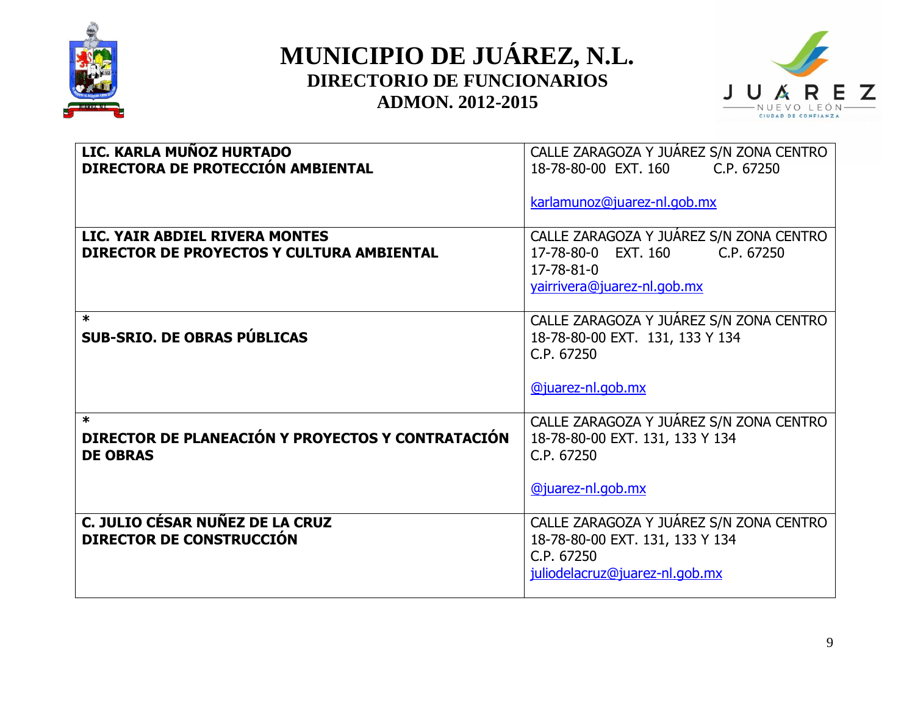



| LIC. KARLA MUÑOZ HURTADO<br>DIRECTORA DE PROTECCIÓN AMBIENTAL                  | CALLE ZARAGOZA Y JUÁREZ S/N ZONA CENTRO<br>18-78-80-00 EXT. 160<br>C.P. 67250<br>karlamunoz@juarez-nl.gob.mx               |
|--------------------------------------------------------------------------------|----------------------------------------------------------------------------------------------------------------------------|
| LIC. YAIR ABDIEL RIVERA MONTES<br>DIRECTOR DE PROYECTOS Y CULTURA AMBIENTAL    | CALLE ZARAGOZA Y JUÁREZ S/N ZONA CENTRO<br>17-78-80-0 EXT. 160<br>C.P. 67250<br>17-78-81-0<br>yairrivera@juarez-nl.gob.mx  |
| $\ast$<br><b>SUB-SRIO. DE OBRAS PÚBLICAS</b>                                   | CALLE ZARAGOZA Y JUÁREZ S/N ZONA CENTRO<br>18-78-80-00 EXT. 131, 133 Y 134<br>C.P. 67250<br><b>@juarez-nl.gob.mx</b>       |
| $\ast$<br>DIRECTOR DE PLANEACIÓN Y PROYECTOS Y CONTRATACIÓN<br><b>DE OBRAS</b> | CALLE ZARAGOZA Y JUÁREZ S/N ZONA CENTRO<br>18-78-80-00 EXT. 131, 133 Y 134<br>C.P. 67250<br>@juarez-nl.gob.mx              |
| C. JULIO CÉSAR NUÑEZ DE LA CRUZ<br><b>DIRECTOR DE CONSTRUCCIÓN</b>             | CALLE ZARAGOZA Y JUÁREZ S/N ZONA CENTRO<br>18-78-80-00 EXT. 131, 133 Y 134<br>C.P. 67250<br>juliodelacruz@juarez-nl.gob.mx |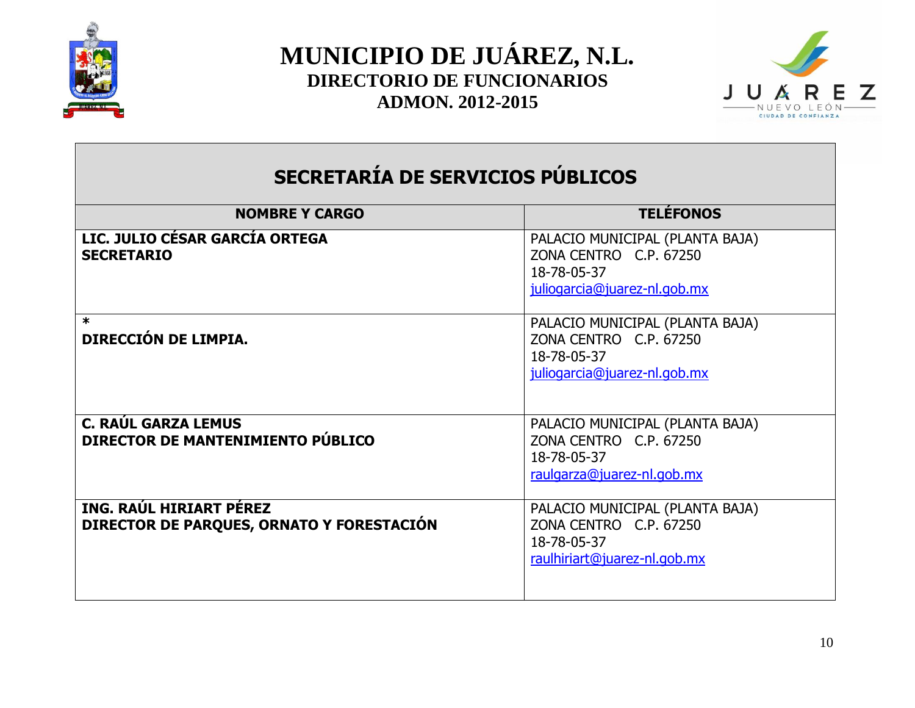



## **SECRETARÍA DE SERVICIOS PÚBLICOS**

| <b>NOMBRE Y CARGO</b>                                                | <b>TELÉFONOS</b>                                                                                         |
|----------------------------------------------------------------------|----------------------------------------------------------------------------------------------------------|
| LIC. JULIO CÉSAR GARCÍA ORTEGA<br><b>SECRETARIO</b>                  | PALACIO MUNICIPAL (PLANTA BAJA)<br>ZONA CENTRO C.P. 67250<br>18-78-05-37<br>juliogarcia@juarez-nl.gob.mx |
| $\ast$<br>DIRECCIÓN DE LIMPIA.                                       | PALACIO MUNICIPAL (PLANTA BAJA)<br>ZONA CENTRO C.P. 67250<br>18-78-05-37<br>juliogarcia@juarez-nl.gob.mx |
| <b>C. RAÚL GARZA LEMUS</b><br>DIRECTOR DE MANTENIMIENTO PÚBLICO      | PALACIO MUNICIPAL (PLANTA BAJA)<br>ZONA CENTRO C.P. 67250<br>18-78-05-37<br>raulgarza@juarez-nl.gob.mx   |
| ING. RAÚL HIRIART PÉREZ<br>DIRECTOR DE PARQUES, ORNATO Y FORESTACIÓN | PALACIO MUNICIPAL (PLANTA BAJA)<br>ZONA CENTRO C.P. 67250<br>18-78-05-37<br>raulhiriart@juarez-nl.gob.mx |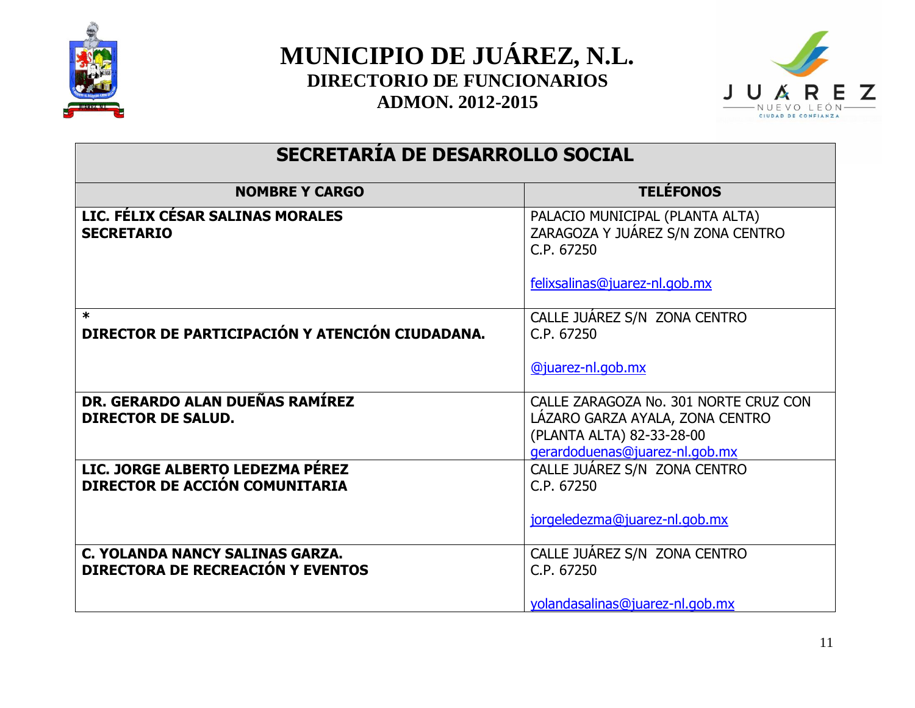



#### **SECRETARÍA DE DESARROLLO SOCIAL**

| <b>NOMBRE Y CARGO</b>                                                       | <b>TELÉFONOS</b>                                                                                                                        |
|-----------------------------------------------------------------------------|-----------------------------------------------------------------------------------------------------------------------------------------|
| LIC. FÉLIX CÉSAR SALINAS MORALES<br><b>SECRETARIO</b>                       | PALACIO MUNICIPAL (PLANTA ALTA)<br>ZARAGOZA Y JUÁREZ S/N ZONA CENTRO<br>C.P. 67250                                                      |
|                                                                             | felixsalinas@juarez-nl.gob.mx                                                                                                           |
| $\ast$<br>DIRECTOR DE PARTICIPACIÓN Y ATENCIÓN CIUDADANA.                   | CALLE JUAREZ S/N ZONA CENTRO<br>C.P. 67250                                                                                              |
|                                                                             | @juarez-nl.gob.mx                                                                                                                       |
| DR. GERARDO ALAN DUEÑAS RAMÍREZ<br><b>DIRECTOR DE SALUD.</b>                | CALLE ZARAGOZA No. 301 NORTE CRUZ CON<br>LAZARO GARZA AYALA, ZONA CENTRO<br>(PLANTA ALTA) 82-33-28-00<br>gerardoduenas@juarez-nl.gob.mx |
| LIC. JORGE ALBERTO LEDEZMA PÉREZ<br>DIRECTOR DE ACCIÓN COMUNITARIA          | CALLE JUÁREZ S/N ZONA CENTRO<br>C.P. 67250                                                                                              |
|                                                                             | jorgeledezma@juarez-nl.gob.mx                                                                                                           |
| C. YOLANDA NANCY SALINAS GARZA.<br><b>DIRECTORA DE RECREACIÓN Y EVENTOS</b> | CALLE JUAREZ S/N ZONA CENTRO<br>C.P. 67250                                                                                              |
|                                                                             | yolandasalinas@juarez-nl.gob.mx                                                                                                         |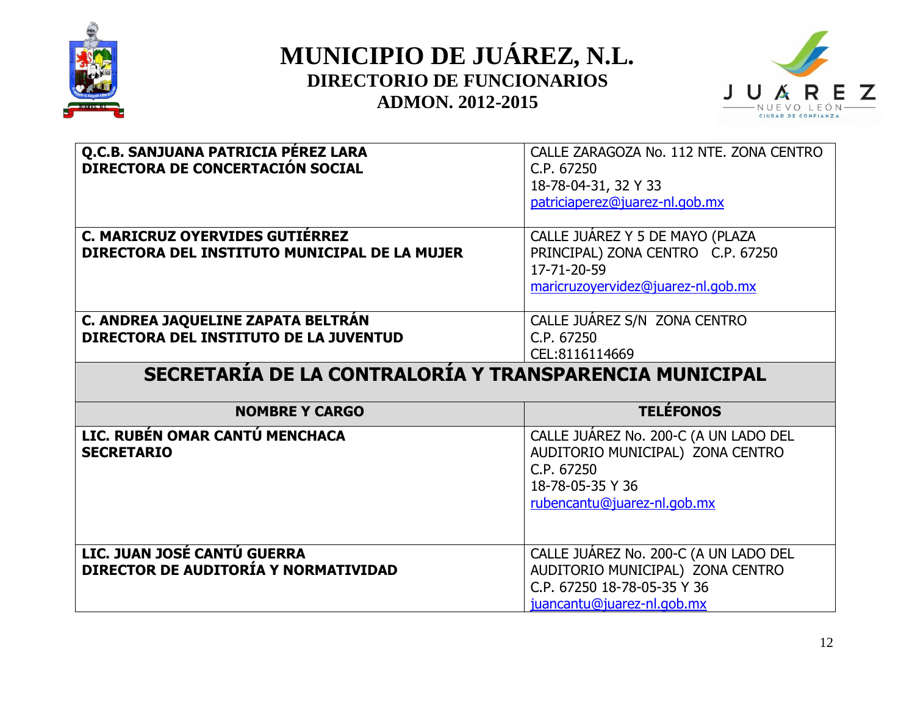



| Q.C.B. SANJUANA PATRICIA PÉREZ LARA                    | CALLE ZARAGOZA No. 112 NTE. ZONA CENTRO                   |
|--------------------------------------------------------|-----------------------------------------------------------|
| <b>DIRECTORA DE CONCERTACIÓN SOCIAL</b>                | C.P. 67250                                                |
|                                                        | 18-78-04-31, 32 Y 33                                      |
|                                                        | patriciaperez@juarez-nl.gob.mx                            |
|                                                        |                                                           |
| C. MARICRUZ OYERVIDES GUTIÉRREZ                        | CALLE JUÁREZ Y 5 DE MAYO (PLAZA                           |
| DIRECTORA DEL INSTITUTO MUNICIPAL DE LA MUJER          | PRINCIPAL) ZONA CENTRO C.P. 67250                         |
|                                                        | 17-71-20-59                                               |
|                                                        | maricruzoyervidez@juarez-nl.gob.mx                        |
|                                                        |                                                           |
| C. ANDREA JAQUELINE ZAPATA BELTRAN                     | CALLE JUAREZ S/N ZONA CENTRO                              |
| DIRECTORA DEL INSTITUTO DE LA JUVENTUD                 | C.P. 67250                                                |
|                                                        |                                                           |
|                                                        | CEL:8116114669                                            |
|                                                        |                                                           |
| SECRETARÍA DE LA CONTRALORÍA Y TRANSPARENCIA MUNICIPAL |                                                           |
| <b>NOMBRE Y CARGO</b>                                  | <b>TELÉFONOS</b>                                          |
| LIC. RUBÉN OMAR CANTÚ MENCHACA                         |                                                           |
| <b>SECRETARIO</b>                                      | CALLE JUÁREZ No. 200-C (A UN LADO DEL                     |
|                                                        | AUDITORIO MUNICIPAL) ZONA CENTRO<br>C.P. 67250            |
|                                                        |                                                           |
|                                                        | 18-78-05-35 Y 36                                          |
|                                                        | rubencantu@juarez-nl.gob.mx                               |
|                                                        |                                                           |
|                                                        |                                                           |
| LIC. JUAN JOSÉ CANTÚ GUERRA                            | CALLE JUÁREZ No. 200-C (A UN LADO DEL                     |
| DIRECTOR DE AUDITORÍA Y NORMATIVIDAD                   | AUDITORIO MUNICIPAL) ZONA CENTRO                          |
|                                                        | C.P. 67250 18-78-05-35 Y 36<br>juancantu@juarez-nl.gob.mx |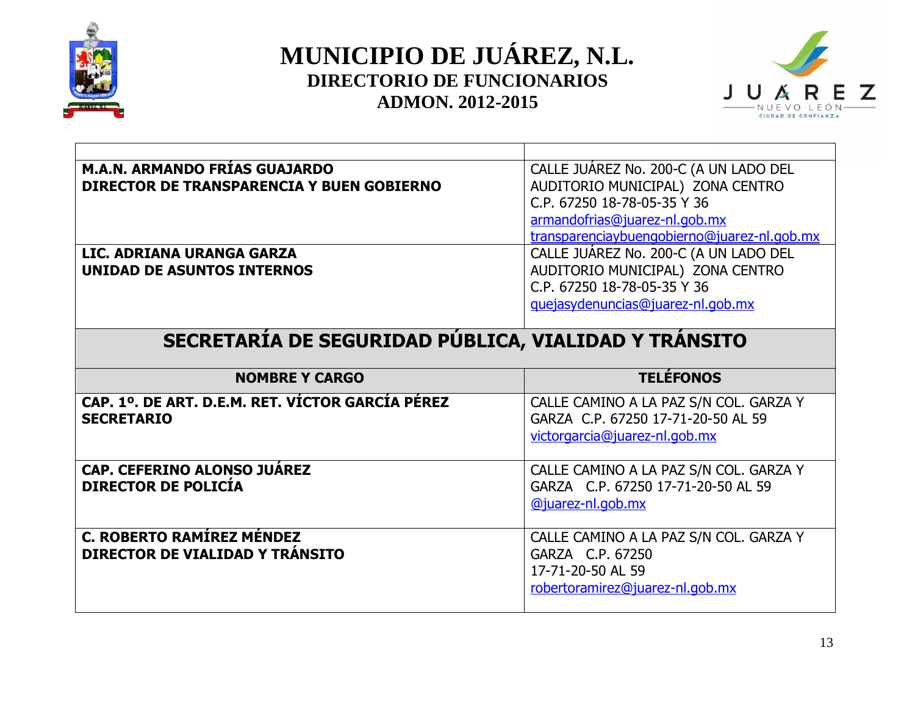



| <b>M.A.N. ARMANDO FRÍAS GUAJARDO</b>                 | CALLE JUAREZ No. 200-C (A UN LADO DEL       |
|------------------------------------------------------|---------------------------------------------|
| DIRECTOR DE TRANSPARENCIA Y BUEN GOBIERNO            | AUDITORIO MUNICIPAL) ZONA CENTRO            |
|                                                      | C.P. 67250 18-78-05-35 Y 36                 |
|                                                      | armandofrias@juarez-nl.gob.mx               |
|                                                      | transparenciaybuengobierno@juarez-nl.gob.mx |
| LIC. ADRIANA URANGA GARZA                            | CALLE JUÁREZ No. 200-C (A UN LADO DEL       |
| <b>UNIDAD DE ASUNTOS INTERNOS</b>                    | AUDITORIO MUNICIPAL) ZONA CENTRO            |
|                                                      | C.P. 67250 18-78-05-35 Y 36                 |
|                                                      | guejasydenuncias@juarez-nl.gob.mx           |
|                                                      |                                             |
| SECRETARÍA DE SEGURIDAD PÚBLICA, VIALIDAD Y TRÁNSITO |                                             |
|                                                      |                                             |
|                                                      |                                             |
| <b>NOMBRE Y CARGO</b>                                | <b>TELÉFONOS</b>                            |
| CAP. 1º. DE ART. D.E.M. RET. VÍCTOR GARCÍA PÉREZ     | CALLE CAMINO A LA PAZ S/N COL. GARZA Y      |
| <b>SECRETARIO</b>                                    | GARZA C.P. 67250 17-71-20-50 AL 59          |
|                                                      | victorgarcia@juarez-nl.gob.mx               |
|                                                      |                                             |
| <b>CAP. CEFERINO ALONSO JUÁREZ</b>                   | CALLE CAMINO A LA PAZ S/N COL. GARZA Y      |
| <b>DIRECTOR DE POLICÍA</b>                           | GARZA C.P. 67250 17-71-20-50 AL 59          |
|                                                      | @juarez-nl.gob.mx                           |
|                                                      |                                             |
| C. ROBERTO RAMÍREZ MÉNDEZ                            | CALLE CAMINO A LA PAZ S/N COL. GARZA Y      |
| DIRECTOR DE VIALIDAD Y TRÁNSITO                      | GARZA C.P. 67250                            |
|                                                      | 17-71-20-50 AL 59                           |
|                                                      | robertoramirez@juarez-nl.gob.mx             |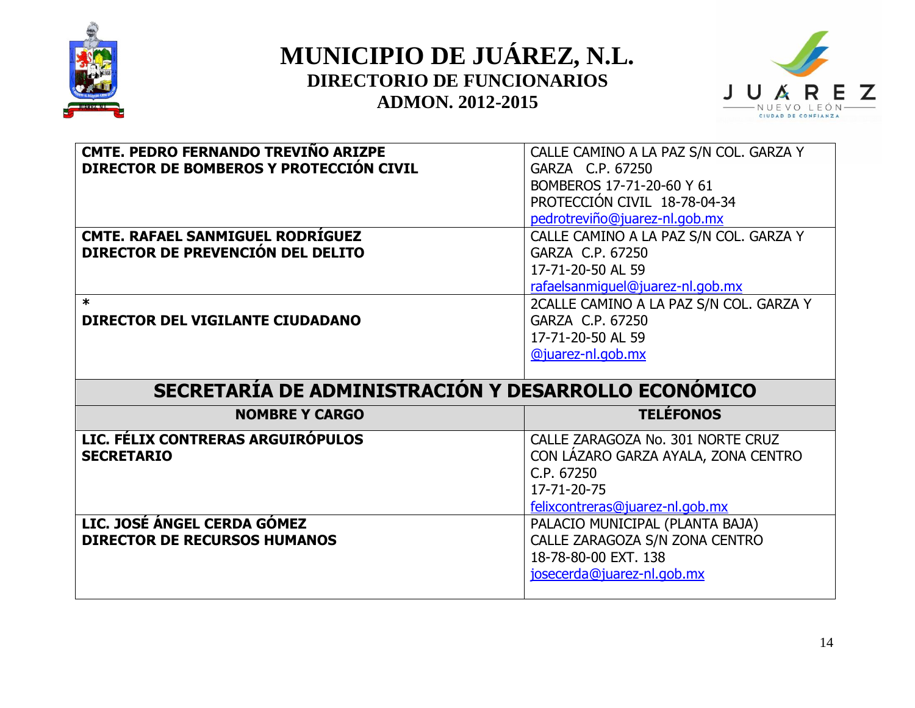



| <b>CMTE. PEDRO FERNANDO TREVIÑO ARIZPE</b>          | CALLE CAMINO A LA PAZ S/N COL. GARZA Y            |
|-----------------------------------------------------|---------------------------------------------------|
| DIRECTOR DE BOMBEROS Y PROTECCIÓN CIVIL             | GARZA C.P. 67250                                  |
|                                                     | BOMBEROS 17-71-20-60 Y 61                         |
|                                                     | PROTECCIÓN CIVIL 18-78-04-34                      |
|                                                     | pedrotreviño@juarez-nl.gob.mx                     |
| <b>CMTE. RAFAEL SANMIGUEL RODRÍGUEZ</b>             | CALLE CAMINO A LA PAZ S/N COL. GARZA Y            |
| DIRECTOR DE PREVENCIÓN DEL DELITO                   | GARZA C.P. 67250                                  |
|                                                     | 17-71-20-50 AL 59                                 |
|                                                     | rafaelsanmiquel@juarez-nl.gob.mx                  |
| $\star$                                             | 2CALLE CAMINO A LA PAZ S/N COL. GARZA Y           |
| DIRECTOR DEL VIGILANTE CIUDADANO                    | GARZA C.P. 67250                                  |
|                                                     | 17-71-20-50 AL 59                                 |
|                                                     | @juarez-nl.gob.mx                                 |
|                                                     |                                                   |
|                                                     |                                                   |
| SECRETARÍA DE ADMINISTRACIÓN Y DESARROLLO ECONOMICO |                                                   |
| <b>NOMBRE Y CARGO</b>                               | <b>TELÉFONOS</b>                                  |
| LIC. FÉLIX CONTRERAS ARGUIRÓPULOS                   | CALLE ZARAGOZA No. 301 NORTE CRUZ                 |
| <b>SECRETARIO</b>                                   |                                                   |
|                                                     | CON LÁZARO GARZA AYALA, ZONA CENTRO<br>C.P. 67250 |
|                                                     | 17-71-20-75                                       |
|                                                     | felixcontreras@juarez-nl.gob.mx                   |
| LIC. JOSÉ ÁNGEL CERDA GÓMEZ                         | PALACIO MUNICIPAL (PLANTA BAJA)                   |
| <b>DIRECTOR DE RECURSOS HUMANOS</b>                 | CALLE ZARAGOZA S/N ZONA CENTRO                    |
|                                                     | 18-78-80-00 EXT. 138                              |
|                                                     | josecerda@juarez-nl.gob.mx                        |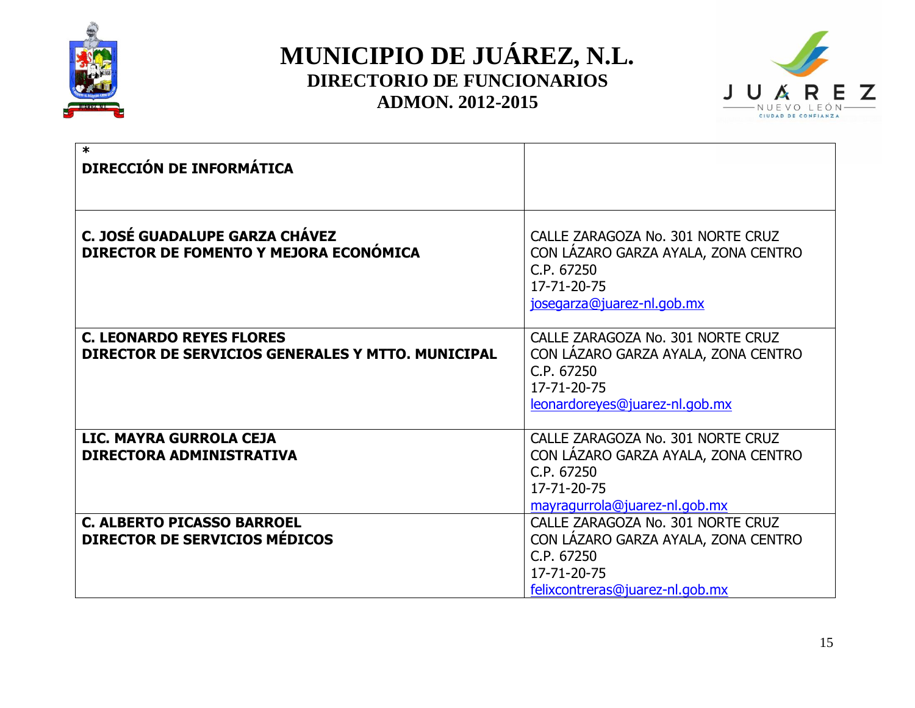



| $\ast$<br>DIRECCIÓN DE INFORMÁTICA                                                   |                                                                                                                                          |
|--------------------------------------------------------------------------------------|------------------------------------------------------------------------------------------------------------------------------------------|
| C. JOSÉ GUADALUPE GARZA CHÁVEZ<br>DIRECTOR DE FOMENTO Y MEJORA ECONÓMICA             | CALLE ZARAGOZA No. 301 NORTE CRUZ<br>CON LAZARO GARZA AYALA, ZONA CENTRO<br>C.P. 67250<br>17-71-20-75<br>josegarza@juarez-nl.gob.mx      |
| <b>C. LEONARDO REYES FLORES</b><br>DIRECTOR DE SERVICIOS GENERALES Y MTTO. MUNICIPAL | CALLE ZARAGOZA No. 301 NORTE CRUZ<br>CON LÁZARO GARZA AYALA, ZONA CENTRO<br>C.P. 67250<br>17-71-20-75<br>leonardoreyes@juarez-nl.gob.mx  |
| LIC. MAYRA GURROLA CEJA<br>DIRECTORA ADMINISTRATIVA                                  | CALLE ZARAGOZA No. 301 NORTE CRUZ<br>CON LÁZARO GARZA AYALA, ZONA CENTRO<br>C.P. 67250<br>17-71-20-75<br>mayragurrola@juarez-nl.gob.mx   |
| <b>C. ALBERTO PICASSO BARROEL</b><br>DIRECTOR DE SERVICIOS MÉDICOS                   | CALLE ZARAGOZA No. 301 NORTE CRUZ<br>CON LAZARO GARZA AYALA, ZONA CENTRO<br>C.P. 67250<br>17-71-20-75<br>felixcontreras@juarez-nl.gob.mx |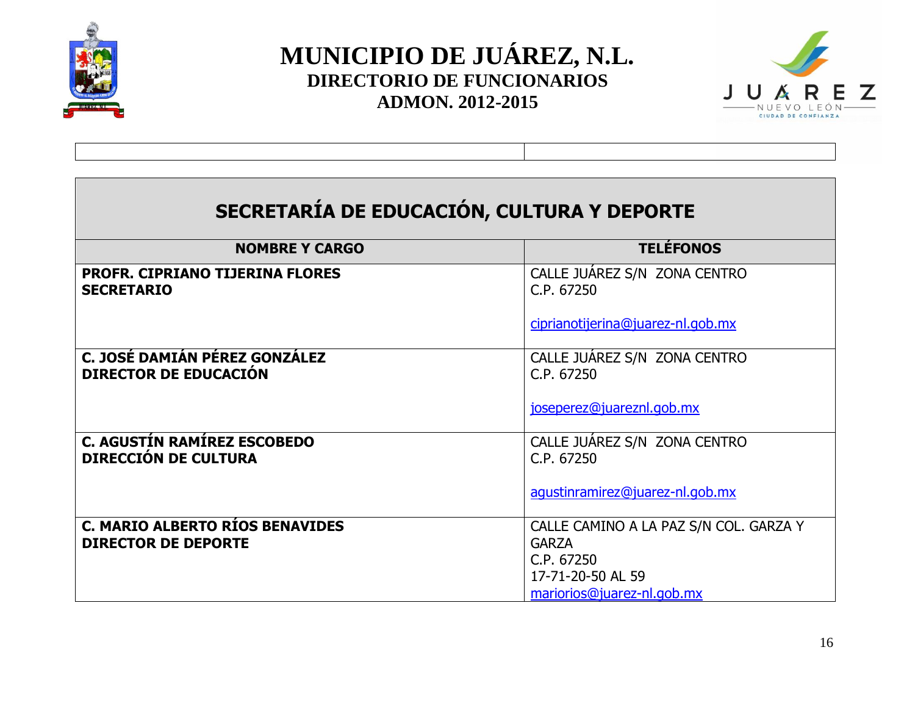



| SECRETARÍA DE EDUCACIÓN, CULTURA Y DEPORTE                        |                                            |  |
|-------------------------------------------------------------------|--------------------------------------------|--|
| <b>NOMBRE Y CARGO</b>                                             | <b>TELÉFONOS</b>                           |  |
| PROFR. CIPRIANO TIJERINA FLORES<br><b>SECRETARIO</b>              | CALLE JUAREZ S/N ZONA CENTRO<br>C.P. 67250 |  |
|                                                                   | ciprianotijerina@juarez-nl.gob.mx          |  |
| C. JOSÉ DAMIÁN PÉREZ GONZÁLEZ<br><b>DIRECTOR DE EDUCACIÓN</b>     | CALLE JUAREZ S/N ZONA CENTRO<br>C.P. 67250 |  |
|                                                                   | joseperez@juareznl.gob.mx                  |  |
| <b>C. AGUSTÍN RAMÍREZ ESCOBEDO</b><br><b>DIRECCIÓN DE CULTURA</b> | CALLE JUAREZ S/N ZONA CENTRO<br>C.P. 67250 |  |
|                                                                   | agustinramirez@juarez-nl.gob.mx            |  |
| <b>C. MARIO ALBERTO RÍOS BENAVIDES</b>                            | CALLE CAMINO A LA PAZ S/N COL. GARZA Y     |  |
| <b>DIRECTOR DE DEPORTE</b>                                        | <b>GARZA</b><br>C.P. 67250                 |  |
|                                                                   | 17-71-20-50 AL 59                          |  |
|                                                                   | mariorios@juarez-nl.gob.mx                 |  |